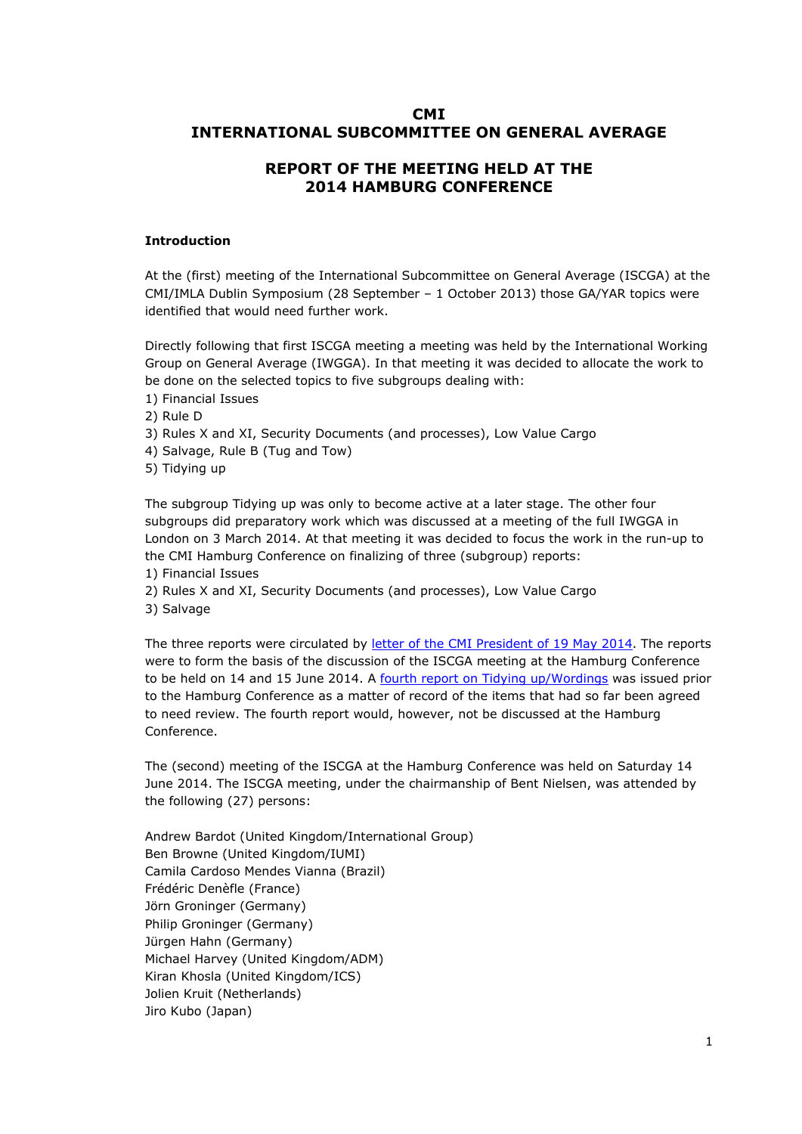# **CMI INTERNATIONAL SUBCOMMITTEE ON GENERAL AVERAGE**

# **REPORT OF THE MEETING HELD AT THE 2014 HAMBURG CONFERENCE**

### **Introduction**

At the (first) meeting of the International Subcommittee on General Average (ISCGA) at the CMI/IMLA Dublin Symposium (28 September – 1 October 2013) those GA/YAR topics were identified that would need further work.

Directly following that first ISCGA meeting a meeting was held by the International Working Group on General Average (IWGGA). In that meeting it was decided to allocate the work to be done on the selected topics to five subgroups dealing with:

1) Financial Issues

2) Rule D

3) Rules X and XI, Security Documents (and processes), Low Value Cargo

4) Salvage, Rule B (Tug and Tow)

5) Tidying up

The subgroup Tidying up was only to become active at a later stage. The other four subgroups did preparatory work which was discussed at a meeting of the full IWGGA in London on 3 March 2014. At that meeting it was decided to focus the work in the run-up to the CMI Hamburg Conference on finalizing of three (subgroup) reports:

1) Financial Issues

2) Rules X and XI, Security Documents (and processes), Low Value Cargo

3) Salvage

The three reports were circulated by [letter of the CMI President of 19 May 2014](http://www.comitemaritime.org/Uploads/pdf/CMI-ISC-General-Average-Hamburg-June-2014.pdf). The reports were to form the basis of the discussion of the ISCGA meeting at the Hamburg Conference to be held on 14 and 15 June 2014. A [fourth report on Tidying up/Wordings](http://www.comitemaritime.org/Uploads/pdf/CMI_IWGGA_ReportWording.pdf) was issued prior to the Hamburg Conference as a matter of record of the items that had so far been agreed to need review. The fourth report would, however, not be discussed at the Hamburg Conference.

The (second) meeting of the ISCGA at the Hamburg Conference was held on Saturday 14 June 2014. The ISCGA meeting, under the chairmanship of Bent Nielsen, was attended by the following (27) persons:

Andrew Bardot (United Kingdom/International Group) Ben Browne (United Kingdom/IUMI) Camila Cardoso Mendes Vianna (Brazil) Frédéric Denèfle (France) Jörn Groninger (Germany) Philip Groninger (Germany) Jürgen Hahn (Germany) Michael Harvey (United Kingdom/ADM) Kiran Khosla (United Kingdom/ICS) Jolien Kruit (Netherlands) Jiro Kubo (Japan)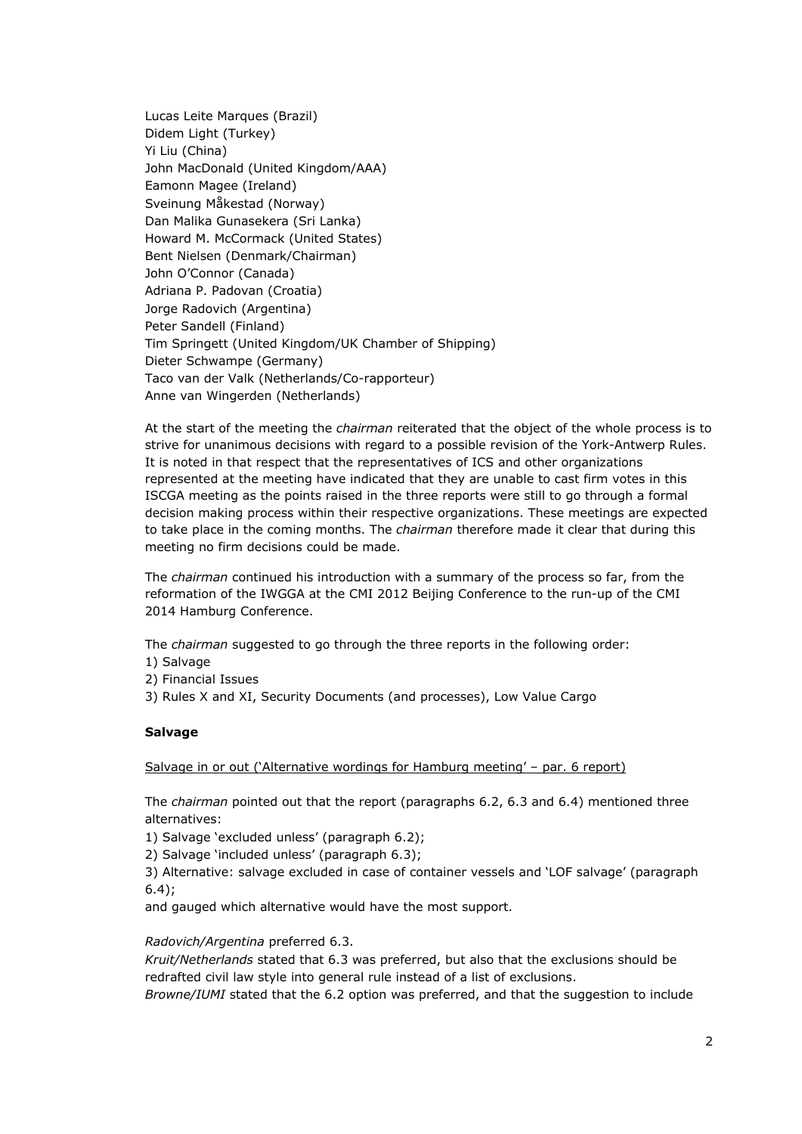Lucas Leite Marques (Brazil) Didem Light (Turkey) Yi Liu (China) John MacDonald (United Kingdom/AAA) Eamonn Magee (Ireland) Sveinung Måkestad (Norway) Dan Malika Gunasekera (Sri Lanka) Howard M. McCormack (United States) Bent Nielsen (Denmark/Chairman) John O'Connor (Canada) Adriana P. Padovan (Croatia) Jorge Radovich (Argentina) Peter Sandell (Finland) Tim Springett (United Kingdom/UK Chamber of Shipping) Dieter Schwampe (Germany) Taco van der Valk (Netherlands/Co-rapporteur) Anne van Wingerden (Netherlands)

At the start of the meeting the *chairman* reiterated that the object of the whole process is to strive for unanimous decisions with regard to a possible revision of the York-Antwerp Rules. It is noted in that respect that the representatives of ICS and other organizations represented at the meeting have indicated that they are unable to cast firm votes in this ISCGA meeting as the points raised in the three reports were still to go through a formal decision making process within their respective organizations. These meetings are expected to take place in the coming months. The *chairman* therefore made it clear that during this meeting no firm decisions could be made.

The *chairman* continued his introduction with a summary of the process so far, from the reformation of the IWGGA at the CMI 2012 Beijing Conference to the run-up of the CMI 2014 Hamburg Conference.

The *chairman* suggested to go through the three reports in the following order:

- 1) Salvage
- 2) Financial Issues
- 3) Rules X and XI, Security Documents (and processes), Low Value Cargo

### **Salvage**

Salvage in or out ('Alternative wordings for Hamburg meeting' – par. 6 report)

The *chairman* pointed out that the report (paragraphs 6.2, 6.3 and 6.4) mentioned three alternatives:

1) Salvage 'excluded unless' (paragraph 6.2);

2) Salvage 'included unless' (paragraph 6.3);

3) Alternative: salvage excluded in case of container vessels and 'LOF salvage' (paragraph 6.4);

and gauged which alternative would have the most support.

### *Radovich/Argentina* preferred 6.3.

*Kruit/Netherlands* stated that 6.3 was preferred, but also that the exclusions should be redrafted civil law style into general rule instead of a list of exclusions. *Browne/IUMI* stated that the 6.2 option was preferred, and that the suggestion to include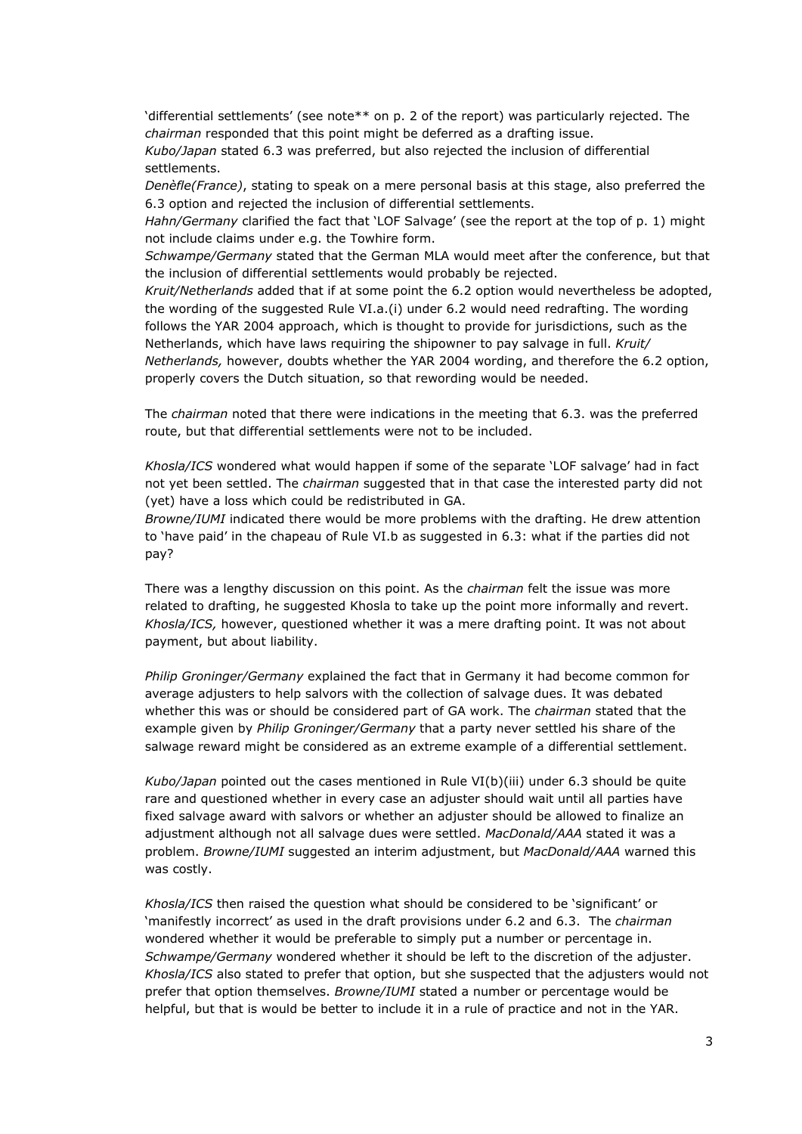'differential settlements' (see note\*\* on p. 2 of the report) was particularly rejected. The *chairman* responded that this point might be deferred as a drafting issue. *Kubo/Japan* stated 6.3 was preferred, but also rejected the inclusion of differential

settlements.

*Denèfle(France)*, stating to speak on a mere personal basis at this stage, also preferred the 6.3 option and rejected the inclusion of differential settlements.

*Hahn/Germany* clarified the fact that 'LOF Salvage' (see the report at the top of p. 1) might not include claims under e.g. the Towhire form.

*Schwampe/Germany* stated that the German MLA would meet after the conference, but that the inclusion of differential settlements would probably be rejected.

*Kruit/Netherlands* added that if at some point the 6.2 option would nevertheless be adopted, the wording of the suggested Rule VI.a.(i) under 6.2 would need redrafting. The wording follows the YAR 2004 approach, which is thought to provide for jurisdictions, such as the Netherlands, which have laws requiring the shipowner to pay salvage in full. *Kruit/ Netherlands,* however, doubts whether the YAR 2004 wording, and therefore the 6.2 option, properly covers the Dutch situation, so that rewording would be needed.

The *chairman* noted that there were indications in the meeting that 6.3. was the preferred route, but that differential settlements were not to be included.

*Khosla/ICS* wondered what would happen if some of the separate 'LOF salvage' had in fact not yet been settled. The *chairman* suggested that in that case the interested party did not (yet) have a loss which could be redistributed in GA.

*Browne/IUMI* indicated there would be more problems with the drafting. He drew attention to 'have paid' in the chapeau of Rule VI.b as suggested in 6.3: what if the parties did not pay?

There was a lengthy discussion on this point. As the *chairman* felt the issue was more related to drafting, he suggested Khosla to take up the point more informally and revert. *Khosla/ICS,* however, questioned whether it was a mere drafting point. It was not about payment, but about liability.

*Philip Groninger/Germany* explained the fact that in Germany it had become common for average adjusters to help salvors with the collection of salvage dues. It was debated whether this was or should be considered part of GA work. The *chairman* stated that the example given by *Philip Groninger/Germany* that a party never settled his share of the salwage reward might be considered as an extreme example of a differential settlement.

*Kubo/Japan* pointed out the cases mentioned in Rule VI(b)(iii) under 6.3 should be quite rare and questioned whether in every case an adjuster should wait until all parties have fixed salvage award with salvors or whether an adjuster should be allowed to finalize an adjustment although not all salvage dues were settled. *MacDonald/AAA* stated it was a problem. *Browne/IUMI* suggested an interim adjustment, but *MacDonald/AAA* warned this was costly.

*Khosla/ICS* then raised the question what should be considered to be 'significant' or 'manifestly incorrect' as used in the draft provisions under 6.2 and 6.3. The *chairman* wondered whether it would be preferable to simply put a number or percentage in. *Schwampe/Germany* wondered whether it should be left to the discretion of the adjuster. *Khosla/ICS* also stated to prefer that option, but she suspected that the adjusters would not prefer that option themselves. *Browne/IUMI* stated a number or percentage would be helpful, but that is would be better to include it in a rule of practice and not in the YAR.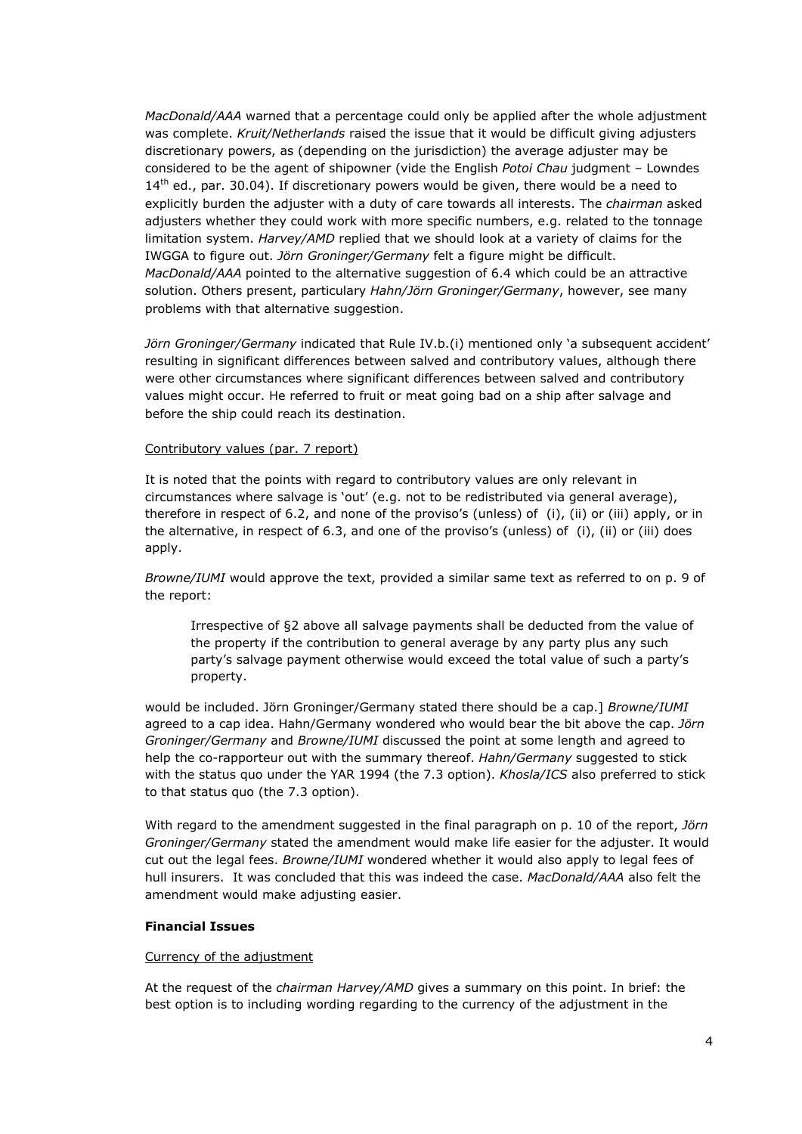*MacDonald/AAA* warned that a percentage could only be applied after the whole adjustment was complete. *Kruit/Netherlands* raised the issue that it would be difficult giving adjusters discretionary powers, as (depending on the jurisdiction) the average adjuster may be considered to be the agent of shipowner (vide the English *Potoi Chau* judgment – Lowndes  $14<sup>th</sup>$  ed., par. 30.04). If discretionary powers would be given, there would be a need to explicitly burden the adjuster with a duty of care towards all interests. The *chairman* asked adjusters whether they could work with more specific numbers, e.g. related to the tonnage limitation system. *Harvey/AMD* replied that we should look at a variety of claims for the IWGGA to figure out. *Jörn Groninger/Germany* felt a figure might be difficult. *MacDonald/AAA* pointed to the alternative suggestion of 6.4 which could be an attractive solution. Others present, particulary *Hahn/Jörn Groninger/Germany*, however, see many problems with that alternative suggestion.

*Jörn Groninger/Germany* indicated that Rule IV.b.(i) mentioned only 'a subsequent accident' resulting in significant differences between salved and contributory values, although there were other circumstances where significant differences between salved and contributory values might occur. He referred to fruit or meat going bad on a ship after salvage and before the ship could reach its destination.

## Contributory values (par. 7 report)

It is noted that the points with regard to contributory values are only relevant in circumstances where salvage is 'out' (e.g. not to be redistributed via general average), therefore in respect of 6.2, and none of the proviso's (unless) of (i), (ii) or (iii) apply, or in the alternative, in respect of 6.3, and one of the proviso's (unless) of (i), (ii) or (iii) does apply.

*Browne/IUMI* would approve the text, provided a similar same text as referred to on p. 9 of the report:

Irrespective of §2 above all salvage payments shall be deducted from the value of the property if the contribution to general average by any party plus any such party's salvage payment otherwise would exceed the total value of such a party's property.

would be included. Jörn Groninger/Germany stated there should be a cap.] *Browne/IUMI* agreed to a cap idea. Hahn/Germany wondered who would bear the bit above the cap. *Jörn Groninger/Germany* and *Browne/IUMI* discussed the point at some length and agreed to help the co-rapporteur out with the summary thereof. *Hahn/Germany* suggested to stick with the status quo under the YAR 1994 (the 7.3 option). *Khosla/ICS* also preferred to stick to that status quo (the 7.3 option).

With regard to the amendment suggested in the final paragraph on p. 10 of the report, *Jörn Groninger/Germany* stated the amendment would make life easier for the adjuster. It would cut out the legal fees. *Browne/IUMI* wondered whether it would also apply to legal fees of hull insurers. It was concluded that this was indeed the case. *MacDonald/AAA* also felt the amendment would make adjusting easier.

## **Financial Issues**

### Currency of the adjustment

At the request of the *chairman Harvey/AMD* gives a summary on this point. In brief: the best option is to including wording regarding to the currency of the adjustment in the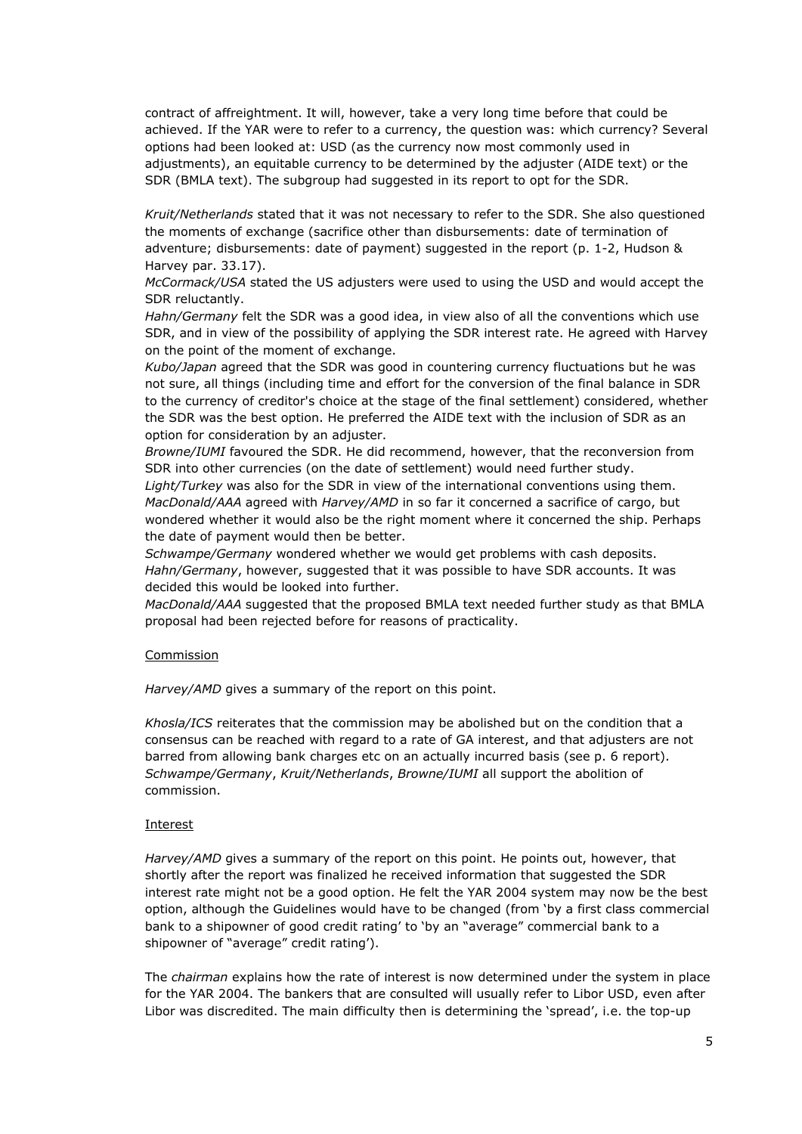contract of affreightment. It will, however, take a very long time before that could be achieved. If the YAR were to refer to a currency, the question was: which currency? Several options had been looked at: USD (as the currency now most commonly used in adjustments), an equitable currency to be determined by the adjuster (AIDE text) or the SDR (BMLA text). The subgroup had suggested in its report to opt for the SDR.

*Kruit/Netherlands* stated that it was not necessary to refer to the SDR. She also questioned the moments of exchange (sacrifice other than disbursements: date of termination of adventure; disbursements: date of payment) suggested in the report (p. 1-2, Hudson & Harvey par. 33.17).

*McCormack/USA* stated the US adjusters were used to using the USD and would accept the SDR reluctantly.

*Hahn/Germany* felt the SDR was a good idea, in view also of all the conventions which use SDR, and in view of the possibility of applying the SDR interest rate. He agreed with Harvey on the point of the moment of exchange.

*Kubo/Japan* agreed that the SDR was good in countering currency fluctuations but he was not sure, all things (including time and effort for the conversion of the final balance in SDR to the currency of creditor's choice at the stage of the final settlement) considered, whether the SDR was the best option. He preferred the AIDE text with the inclusion of SDR as an option for consideration by an adjuster.

*Browne/IUMI* favoured the SDR. He did recommend, however, that the reconversion from SDR into other currencies (on the date of settlement) would need further study. *Light/Turkey* was also for the SDR in view of the international conventions using them. *MacDonald/AAA* agreed with *Harvey/AMD* in so far it concerned a sacrifice of cargo, but wondered whether it would also be the right moment where it concerned the ship. Perhaps the date of payment would then be better.

*Schwampe/Germany* wondered whether we would get problems with cash deposits. *Hahn/Germany*, however, suggested that it was possible to have SDR accounts. It was decided this would be looked into further.

*MacDonald/AAA* suggested that the proposed BMLA text needed further study as that BMLA proposal had been rejected before for reasons of practicality.

### **Commission**

*Harvey/AMD* gives a summary of the report on this point.

*Khosla/ICS* reiterates that the commission may be abolished but on the condition that a consensus can be reached with regard to a rate of GA interest, and that adjusters are not barred from allowing bank charges etc on an actually incurred basis (see p. 6 report). *Schwampe/Germany*, *Kruit/Netherlands*, *Browne/IUMI* all support the abolition of commission.

### Interest

*Harvey/AMD* gives a summary of the report on this point. He points out, however, that shortly after the report was finalized he received information that suggested the SDR interest rate might not be a good option. He felt the YAR 2004 system may now be the best option, although the Guidelines would have to be changed (from 'by a first class commercial bank to a shipowner of good credit rating' to 'by an "average" commercial bank to a shipowner of "average" credit rating').

The *chairman* explains how the rate of interest is now determined under the system in place for the YAR 2004. The bankers that are consulted will usually refer to Libor USD, even after Libor was discredited. The main difficulty then is determining the 'spread', i.e. the top-up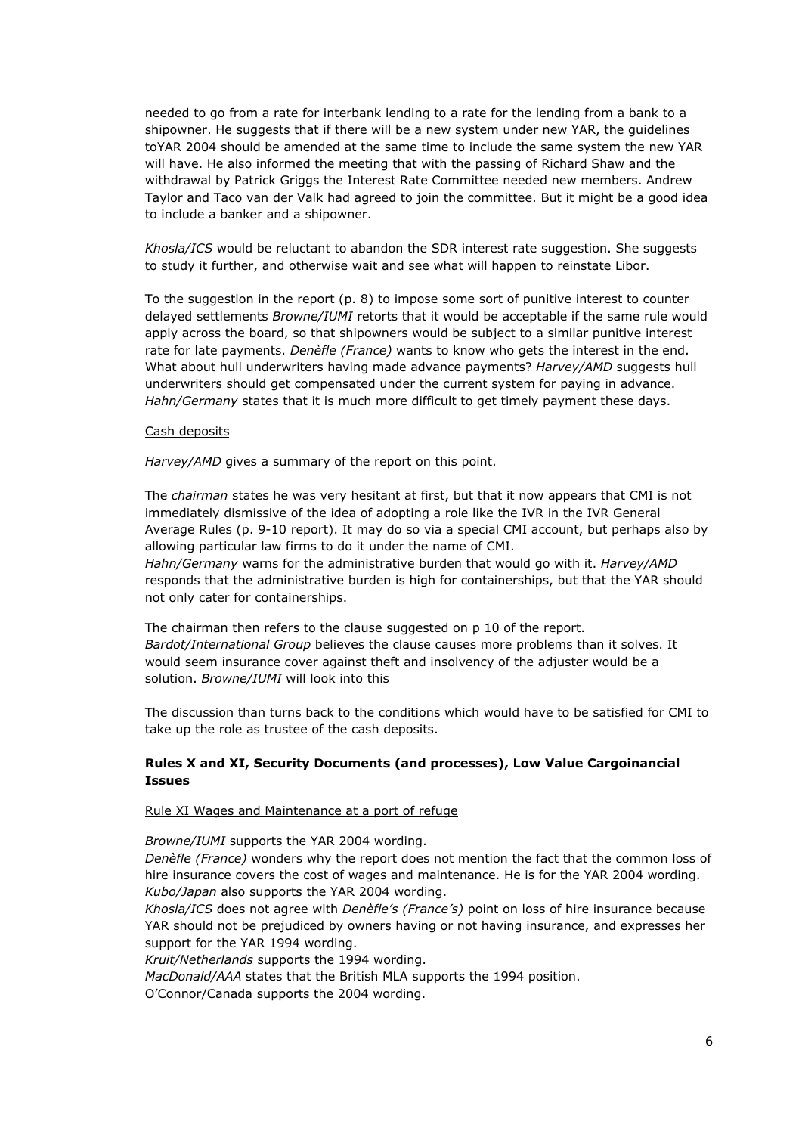needed to go from a rate for interbank lending to a rate for the lending from a bank to a shipowner. He suggests that if there will be a new system under new YAR, the guidelines toYAR 2004 should be amended at the same time to include the same system the new YAR will have. He also informed the meeting that with the passing of Richard Shaw and the withdrawal by Patrick Griggs the Interest Rate Committee needed new members. Andrew Taylor and Taco van der Valk had agreed to join the committee. But it might be a good idea to include a banker and a shipowner.

*Khosla/ICS* would be reluctant to abandon the SDR interest rate suggestion. She suggests to study it further, and otherwise wait and see what will happen to reinstate Libor.

To the suggestion in the report (p. 8) to impose some sort of punitive interest to counter delayed settlements *Browne/IUMI* retorts that it would be acceptable if the same rule would apply across the board, so that shipowners would be subject to a similar punitive interest rate for late payments. *Denèfle (France)* wants to know who gets the interest in the end. What about hull underwriters having made advance payments? *Harvey/AMD* suggests hull underwriters should get compensated under the current system for paying in advance. *Hahn/Germany* states that it is much more difficult to get timely payment these days.

## Cash deposits

*Harvey/AMD* gives a summary of the report on this point.

The *chairman* states he was very hesitant at first, but that it now appears that CMI is not immediately dismissive of the idea of adopting a role like the IVR in the IVR General Average Rules (p. 9-10 report). It may do so via a special CMI account, but perhaps also by allowing particular law firms to do it under the name of CMI. *Hahn/Germany* warns for the administrative burden that would go with it. *Harvey/AMD* responds that the administrative burden is high for containerships, but that the YAR should not only cater for containerships.

The chairman then refers to the clause suggested on p 10 of the report. *Bardot/International Group* believes the clause causes more problems than it solves. It would seem insurance cover against theft and insolvency of the adjuster would be a solution. *Browne/IUMI* will look into this

The discussion than turns back to the conditions which would have to be satisfied for CMI to take up the role as trustee of the cash deposits.

# **Rules X and XI, Security Documents (and processes), Low Value Cargoinancial Issues**

### Rule XI Wages and Maintenance at a port of refuge

*Browne/IUMI* supports the YAR 2004 wording.

*Denèfle (France)* wonders why the report does not mention the fact that the common loss of hire insurance covers the cost of wages and maintenance. He is for the YAR 2004 wording. *Kubo/Japan* also supports the YAR 2004 wording.

*Khosla/ICS* does not agree with *Denèfle's (France's)* point on loss of hire insurance because YAR should not be prejudiced by owners having or not having insurance, and expresses her support for the YAR 1994 wording.

*Kruit/Netherlands* supports the 1994 wording.

*MacDonald/AAA* states that the British MLA supports the 1994 position.

O'Connor/Canada supports the 2004 wording.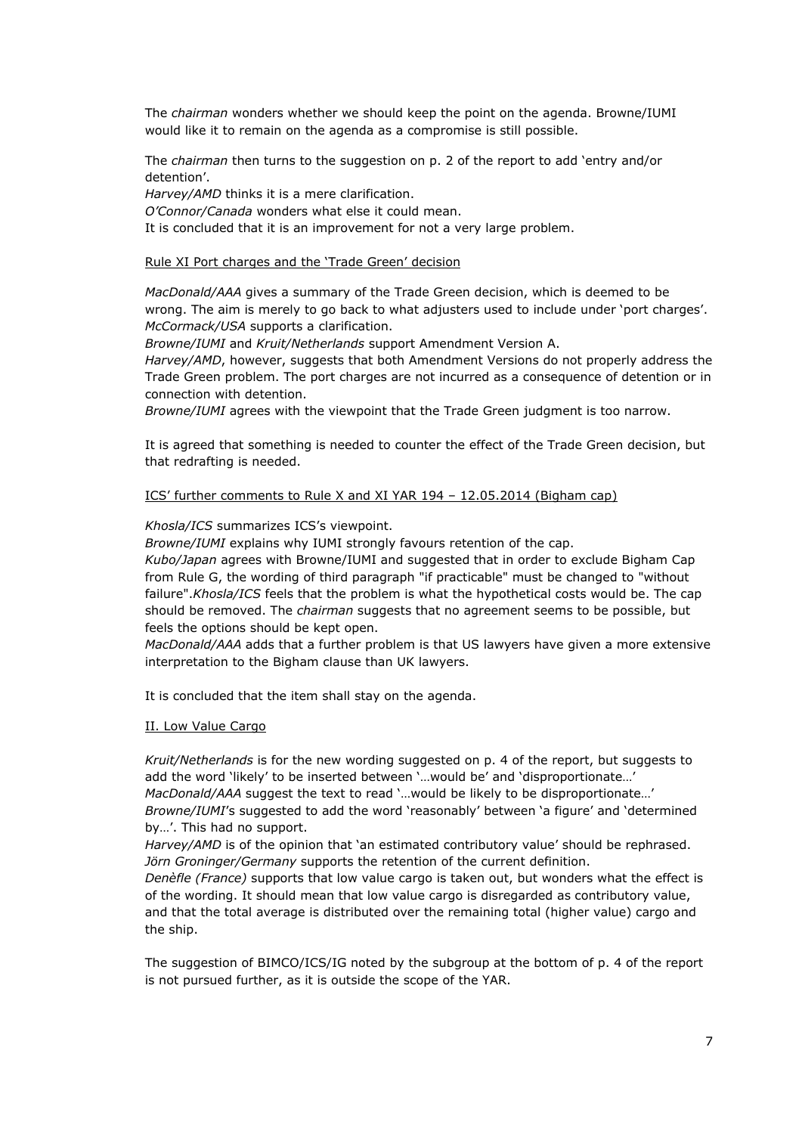The *chairman* wonders whether we should keep the point on the agenda. Browne/IUMI would like it to remain on the agenda as a compromise is still possible.

The *chairman* then turns to the suggestion on p. 2 of the report to add 'entry and/or detention'.

*Harvey/AMD* thinks it is a mere clarification.

*O'Connor/Canada* wonders what else it could mean.

It is concluded that it is an improvement for not a very large problem.

## Rule XI Port charges and the 'Trade Green' decision

*MacDonald/AAA* gives a summary of the Trade Green decision, which is deemed to be wrong. The aim is merely to go back to what adjusters used to include under 'port charges'. *McCormack/USA* supports a clarification.

*Browne/IUMI* and *Kruit/Netherlands* support Amendment Version A.

*Harvey/AMD*, however, suggests that both Amendment Versions do not properly address the Trade Green problem. The port charges are not incurred as a consequence of detention or in connection with detention.

*Browne/IUMI* agrees with the viewpoint that the Trade Green judgment is too narrow.

It is agreed that something is needed to counter the effect of the Trade Green decision, but that redrafting is needed.

## ICS' further comments to Rule X and XI YAR 194 – 12.05.2014 (Bigham cap)

# *Khosla/ICS* summarizes ICS's viewpoint.

*Browne/IUMI* explains why IUMI strongly favours retention of the cap.

*Kubo/Japan* agrees with Browne/IUMI and suggested that in order to exclude Bigham Cap from Rule G, the wording of third paragraph "if practicable" must be changed to "without failure".*Khosla/ICS* feels that the problem is what the hypothetical costs would be. The cap should be removed. The *chairman* suggests that no agreement seems to be possible, but feels the options should be kept open.

*MacDonald/AAA* adds that a further problem is that US lawyers have given a more extensive interpretation to the Bigham clause than UK lawyers.

It is concluded that the item shall stay on the agenda.

### II. Low Value Cargo

*Kruit/Netherlands* is for the new wording suggested on p. 4 of the report, but suggests to add the word 'likely' to be inserted between '…would be' and 'disproportionate…' *MacDonald/AAA* suggest the text to read '…would be likely to be disproportionate…' *Browne/IUMI*'s suggested to add the word 'reasonably' between 'a figure' and 'determined by…'. This had no support.

Harvey/AMD is of the opinion that 'an estimated contributory value' should be rephrased. *Jörn Groninger/Germany* supports the retention of the current definition.

*Denèfle (France)* supports that low value cargo is taken out, but wonders what the effect is of the wording. It should mean that low value cargo is disregarded as contributory value, and that the total average is distributed over the remaining total (higher value) cargo and the ship.

The suggestion of BIMCO/ICS/IG noted by the subgroup at the bottom of p. 4 of the report is not pursued further, as it is outside the scope of the YAR.